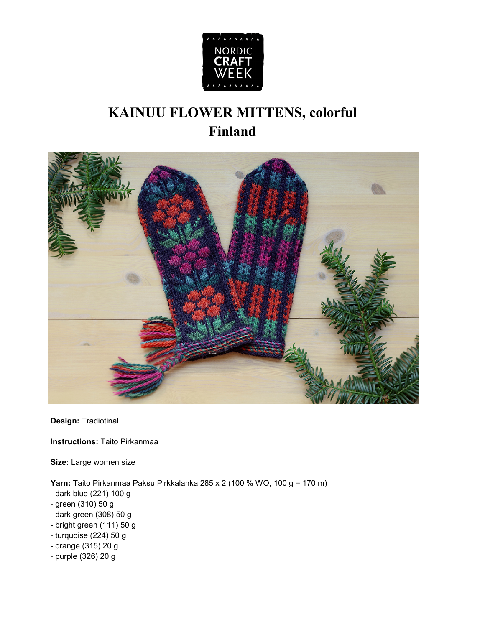

## **KAINUU FLOWER MITTENS, colorful Finland**



**Design:** Tradiotinal

**Instructions:** Taito Pirkanmaa

**Size:** Large women size

**Yarn:** Taito Pirkanmaa Paksu Pirkkalanka 285 x 2 (100 % WO, 100 g = 170 m)

- dark blue (221) 100 g
- green (310) 50 g
- dark green (308) 50 g
- bright green (111) 50 g
- turquoise (224) 50 g
- orange (315) 20 g
- purple (326) 20 g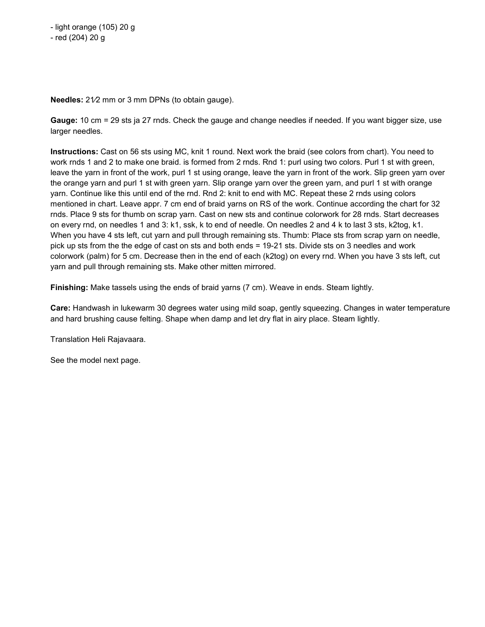- red (204) 20 g

**Needles:** 21⁄2 mm or 3 mm DPNs (to obtain gauge).

**Gauge:** 10 cm = 29 sts ja 27 rnds. Check the gauge and change needles if needed. If you want bigger size, use larger needles.

**Instructions:** Cast on 56 sts using MC, knit 1 round. Next work the braid (see colors from chart). You need to work rnds 1 and 2 to make one braid. is formed from 2 rnds. Rnd 1: purl using two colors. Purl 1 st with green, leave the yarn in front of the work, purl 1 st using orange, leave the yarn in front of the work. Slip green yarn over the orange yarn and purl 1 st with green yarn. Slip orange yarn over the green yarn, and purl 1 st with orange yarn. Continue like this until end of the rnd. Rnd 2: knit to end with MC. Repeat these 2 rnds using colors mentioned in chart. Leave appr. 7 cm end of braid yarns on RS of the work. Continue according the chart for 32 rnds. Place 9 sts for thumb on scrap yarn. Cast on new sts and continue colorwork for 28 rnds. Start decreases on every rnd, on needles 1 and 3: k1, ssk, k to end of needle. On needles 2 and 4 k to last 3 sts, k2tog, k1. When you have 4 sts left, cut yarn and pull through remaining sts. Thumb: Place sts from scrap yarn on needle, pick up sts from the the edge of cast on sts and both ends = 19-21 sts. Divide sts on 3 needles and work colorwork (palm) for 5 cm. Decrease then in the end of each (k2tog) on every rnd. When you have 3 sts left, cut yarn and pull through remaining sts. Make other mitten mirrored.

**Finishing:** Make tassels using the ends of braid yarns (7 cm). Weave in ends. Steam lightly.

**Care:** Handwash in lukewarm 30 degrees water using mild soap, gently squeezing. Changes in water temperature and hard brushing cause felting. Shape when damp and let dry flat in airy place. Steam lightly.

Translation Heli Rajavaara.

See the model next page.